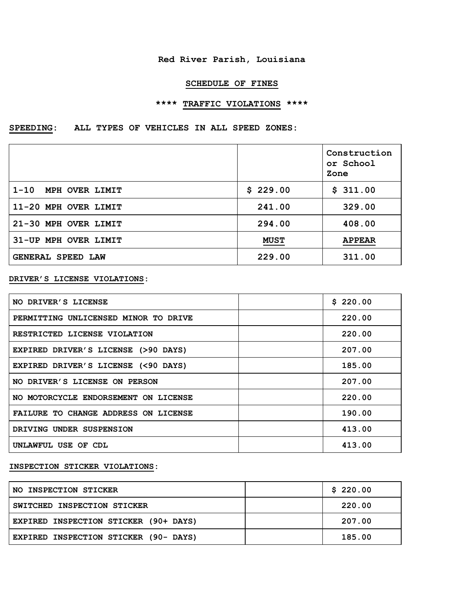## **Red River Parish, Louisiana**

## **SCHEDULE OF FINES**

# **\*\*\*\* TRAFFIC VIOLATIONS \*\*\*\***

# **SPEEDING: ALL TYPES OF VEHICLES IN ALL SPEED ZONES:**

|                      |             | Construction<br>or School<br>Zone |
|----------------------|-------------|-----------------------------------|
| 1-10 MPH OVER LIMIT  | \$229.00    | \$311.00                          |
| 11-20 MPH OVER LIMIT | 241.00      | 329.00                            |
| 21-30 MPH OVER LIMIT | 294.00      | 408.00                            |
| 31-UP MPH OVER LIMIT | <b>MUST</b> | <b>APPEAR</b>                     |
| GENERAL SPEED LAW    | 229.00      | 311.00                            |

#### **DRIVER'S LICENSE VIOLATIONS:**

| NO DRIVER'S LICENSE                  | \$220.00 |
|--------------------------------------|----------|
| PERMITTING UNLICENSED MINOR TO DRIVE | 220.00   |
| RESTRICTED LICENSE VIOLATION         | 220.00   |
| EXPIRED DRIVER'S LICENSE (>90 DAYS)  | 207.00   |
| EXPIRED DRIVER'S LICENSE (<90 DAYS)  | 185.00   |
| NO DRIVER'S LICENSE ON PERSON        | 207.00   |
| NO MOTORCYCLE ENDORSEMENT ON LICENSE | 220.00   |
| FAILURE TO CHANGE ADDRESS ON LICENSE | 190.00   |
| DRIVING UNDER SUSPENSION             | 413.00   |
| UNLAWFUL USE OF CDL                  | 413.00   |

## **INSPECTION STICKER VIOLATIONS:**

| NO INSPECTION STICKER                 | \$220.00 |
|---------------------------------------|----------|
| SWITCHED INSPECTION STICKER           | 220.00   |
| EXPIRED INSPECTION STICKER (90+ DAYS) | 207.00   |
| EXPIRED INSPECTION STICKER (90- DAYS) | 185.00   |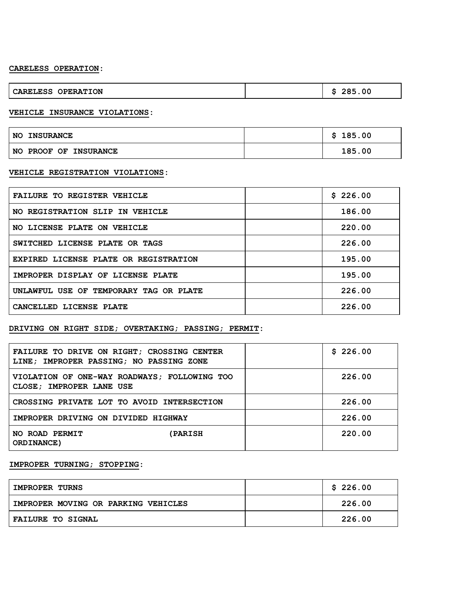#### **CARELESS OPERATION:**

| <b>!ION</b><br>OPERA<br>KM.<br>ככבת | -OO |
|-------------------------------------|-----|
|-------------------------------------|-----|

#### **VEHICLE INSURANCE VIOLATIONS:**

| <b>NO</b><br><b>INSURANCE</b>          | 185.00 |
|----------------------------------------|--------|
| <b>NO</b><br><b>PROOF OF INSURANCE</b> | 185.00 |

#### **VEHICLE REGISTRATION VIOLATIONS:**

| <b>FAILURE TO REGISTER VEHICLE</b>     | \$226.00 |
|----------------------------------------|----------|
| NO REGISTRATION SLIP IN VEHICLE        | 186.00   |
| NO LICENSE PLATE ON VEHICLE            | 220.00   |
| SWITCHED LICENSE PLATE OR TAGS         | 226.00   |
| EXPIRED LICENSE PLATE OR REGISTRATION  | 195.00   |
| IMPROPER DISPLAY OF LICENSE PLATE      | 195.00   |
| UNLAWFUL USE OF TEMPORARY TAG OR PLATE | 226.00   |
| CANCELLED LICENSE PLATE                | 226.00   |

#### **DRIVING ON RIGHT SIDE; OVERTAKING; PASSING; PERMIT:**

| FAILURE TO DRIVE ON RIGHT; CROSSING CENTER<br>LINE; IMPROPER PASSING; NO PASSING ZONE | \$226.00 |
|---------------------------------------------------------------------------------------|----------|
| VIOLATION OF ONE-WAY ROADWAYS; FOLLOWING TOO<br>CLOSE; IMPROPER LANE USE              | 226.00   |
| CROSSING PRIVATE LOT TO AVOID INTERSECTION                                            | 226.00   |
| IMPROPER DRIVING ON DIVIDED HIGHWAY                                                   | 226.00   |
| NO ROAD PERMIT<br><b>(PARISH</b><br>ORDINANCE)                                        | 220.00   |

## **IMPROPER TURNING; STOPPING:**

| <b>IMPROPER TURNS</b>               | \$226.00 |
|-------------------------------------|----------|
| IMPROPER MOVING OR PARKING VEHICLES | 226.00   |
| <b>FAILURE TO SIGNAL</b>            | 226.00   |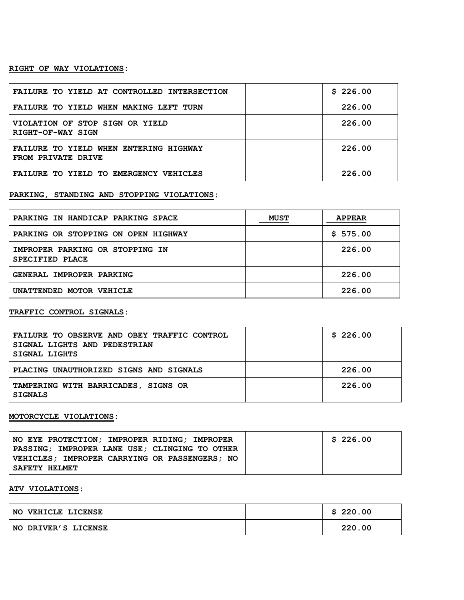#### **RIGHT OF WAY VIOLATIONS:**

| FAILURE TO YIELD AT CONTROLLED INTERSECTION                  | \$226.00 |
|--------------------------------------------------------------|----------|
| FAILURE TO YIELD WHEN MAKING LEFT TURN                       | 226.00   |
| VIOLATION OF STOP SIGN OR YIELD<br>RIGHT-OF-WAY SIGN         | 226.00   |
| FAILURE TO YIELD WHEN ENTERING HIGHWAY<br>FROM PRIVATE DRIVE | 226.00   |
| FAILURE TO YIELD TO EMERGENCY VEHICLES                       | 226.00   |

## **PARKING, STANDING AND STOPPING VIOLATIONS:**

| PARKING IN HANDICAP PARKING SPACE                  | <b>MUST</b> | <b>APPEAR</b> |
|----------------------------------------------------|-------------|---------------|
| PARKING OR STOPPING ON OPEN HIGHWAY                |             | \$575.00      |
| IMPROPER PARKING OR STOPPING IN<br>SPECIFIED PLACE |             | 226.00        |
| GENERAL IMPROPER PARKING                           |             | 226.00        |
| UNATTENDED MOTOR VEHICLE                           |             | 226.00        |

#### **TRAFFIC CONTROL SIGNALS:**

| FAILURE TO OBSERVE AND OBEY TRAFFIC CONTROL<br>SIGNAL LIGHTS AND PEDESTRIAN<br><b>SIGNAL LIGHTS</b> | \$226.00 |
|-----------------------------------------------------------------------------------------------------|----------|
| PLACING UNAUTHORIZED SIGNS AND SIGNALS                                                              | 226.00   |
| TAMPERING WITH BARRICADES, SIGNS OR<br><b>SIGNALS</b>                                               | 226.00   |

#### **MOTORCYCLE VIOLATIONS:**

| NO EYE PROTECTION: IMPROPER RIDING: IMPROPER    | \$226.00 |
|-------------------------------------------------|----------|
| PASSING: IMPROPER LANE USE: CLINGING TO OTHER   |          |
| VEHICLES : IMPROPER CARRYING OR PASSENGERS : NO |          |
| SAFETY HELMET                                   |          |

## **ATV VIOLATIONS:**

| NO.<br>VEHICLE LICENSE | \$220.00 |
|------------------------|----------|
| NO DRIVER'S LICENSE    | 220.00   |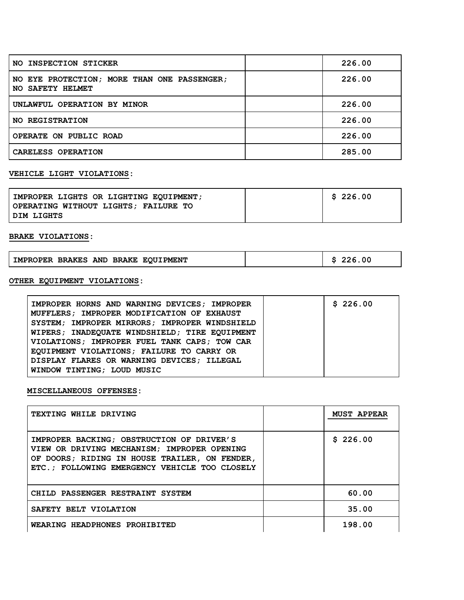| NO INSPECTION STICKER                                           | 226.00 |
|-----------------------------------------------------------------|--------|
| NO EYE PROTECTION; MORE THAN ONE PASSENGER;<br>NO SAFETY HELMET | 226.00 |
| UNLAWFUL OPERATION BY MINOR                                     | 226.00 |
| NO REGISTRATION                                                 | 226.00 |
| OPERATE ON PUBLIC ROAD                                          | 226.00 |
| CARELESS OPERATION                                              | 285.00 |

# **VEHICLE LIGHT VIOLATIONS:**

| IMPROPER LIGHTS OR LIGHTING EOUIPMENT; | \$226.00 |
|----------------------------------------|----------|
| OPERATING WITHOUT LIGHTS; FAILURE TO   |          |
| DIM LIGHTS                             |          |

## **BRAKE VIOLATIONS:**

| IMPROPER BRAKES AND BRAKE EQUIPMENT | 226.00 |
|-------------------------------------|--------|
|-------------------------------------|--------|

# **OTHER EQUIPMENT VIOLATIONS:**

| IMPROPER HORNS AND WARNING DEVICES; IMPROPER  | \$226.00 |
|-----------------------------------------------|----------|
| MUFFLERS: IMPROPER MODIFICATION OF EXHAUST    |          |
| SYSTEM; IMPROPER MIRRORS; IMPROPER WINDSHIELD |          |
| WIPERS; INADEOUATE WINDSHIELD; TIRE EOUIPMENT |          |
| VIOLATIONS; IMPROPER FUEL TANK CAPS; TOW CAR  |          |
| EQUIPMENT VIOLATIONS; FAILURE TO CARRY OR     |          |
| DISPLAY FLARES OR WARNING DEVICES; ILLEGAL    |          |
| WINDOW TINTING; LOUD MUSIC                    |          |

#### **MISCELLANEOUS OFFENSES:**

| TEXTING WHILE DRIVING                                                                                                                                                                      | <b>MUST APPEAR</b> |
|--------------------------------------------------------------------------------------------------------------------------------------------------------------------------------------------|--------------------|
| IMPROPER BACKING: OBSTRUCTION OF DRIVER'S<br>VIEW OR DRIVING MECHANISM: IMPROPER OPENING<br>OF DOORS; RIDING IN HOUSE TRAILER, ON FENDER,<br>ETC.; FOLLOWING EMERGENCY VEHICLE TOO CLOSELY | \$226.00           |
| CHILD PASSENGER RESTRAINT SYSTEM                                                                                                                                                           | 60.00              |
| SAFETY BELT VIOLATION                                                                                                                                                                      | 35.00              |
| WEARING HEADPHONES PROHIBITED                                                                                                                                                              | 198.00             |